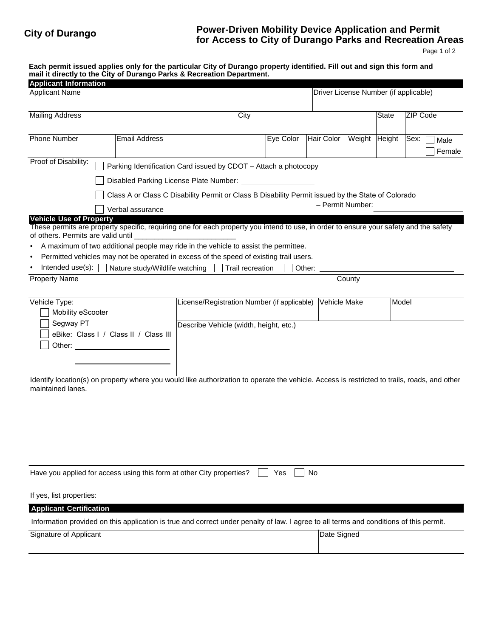## **City of Durango Power-Driven Mobility Device Application and Permit for Access to City of Durango Parks and Recreation Areas**

Page 1 of 2

**Each permit issued applies only for the particular City of Durango property identified. Fill out and sign this form and mail it directly to the City of Durango Parks & Recreation Department.**

| <b>Applicant Information</b>                                                                                                                                            |                                                                                                   |                                             |  |           |                   |               |                                       |      |                 |  |
|-------------------------------------------------------------------------------------------------------------------------------------------------------------------------|---------------------------------------------------------------------------------------------------|---------------------------------------------|--|-----------|-------------------|---------------|---------------------------------------|------|-----------------|--|
| <b>Applicant Name</b>                                                                                                                                                   |                                                                                                   |                                             |  |           |                   |               | Driver License Number (if applicable) |      |                 |  |
|                                                                                                                                                                         |                                                                                                   |                                             |  |           |                   |               |                                       |      |                 |  |
| <b>Mailing Address</b>                                                                                                                                                  |                                                                                                   |                                             |  |           |                   |               | <b>State</b>                          |      | <b>ZIP Code</b> |  |
|                                                                                                                                                                         |                                                                                                   |                                             |  |           |                   |               |                                       |      |                 |  |
| <b>Phone Number</b>                                                                                                                                                     | <b>Email Address</b>                                                                              |                                             |  | Eye Color | <b>Hair Color</b> | Weight Height |                                       | Sex: | Male            |  |
|                                                                                                                                                                         |                                                                                                   |                                             |  |           |                   |               |                                       |      | Female          |  |
| Proof of Disability:                                                                                                                                                    | Parking Identification Card issued by CDOT - Attach a photocopy                                   |                                             |  |           |                   |               |                                       |      |                 |  |
|                                                                                                                                                                         |                                                                                                   |                                             |  |           |                   |               |                                       |      |                 |  |
|                                                                                                                                                                         | Class A or Class C Disability Permit or Class B Disability Permit issued by the State of Colorado |                                             |  |           |                   |               |                                       |      |                 |  |
|                                                                                                                                                                         | Verbal assurance                                                                                  |                                             |  |           | - Permit Number:  |               |                                       |      |                 |  |
| <b>Vehicle Use of Property</b><br>These permits are property specific, requiring one for each property you intend to use, in order to ensure your safety and the safety |                                                                                                   |                                             |  |           |                   |               |                                       |      |                 |  |
| of others. Permits are valid until                                                                                                                                      |                                                                                                   |                                             |  |           |                   |               |                                       |      |                 |  |
|                                                                                                                                                                         | A maximum of two additional people may ride in the vehicle to assist the permittee.               |                                             |  |           |                   |               |                                       |      |                 |  |
|                                                                                                                                                                         | Permitted vehicles may not be operated in excess of the speed of existing trail users.            |                                             |  |           |                   |               |                                       |      |                 |  |
|                                                                                                                                                                         | Intended use(s): $\Box$ Nature study/Wildlife watching $\Box$ Trail recreation                    |                                             |  |           | Other:            |               |                                       |      |                 |  |
| <b>Property Name</b>                                                                                                                                                    |                                                                                                   |                                             |  |           |                   | County        |                                       |      |                 |  |
|                                                                                                                                                                         |                                                                                                   |                                             |  |           |                   |               |                                       |      |                 |  |
| Vehicle Type:                                                                                                                                                           |                                                                                                   | License/Registration Number (if applicable) |  |           | Vehicle Make      |               | Model                                 |      |                 |  |
| Mobility eScooter                                                                                                                                                       |                                                                                                   |                                             |  |           |                   |               |                                       |      |                 |  |
| Segway PT                                                                                                                                                               |                                                                                                   | Describe Vehicle (width, height, etc.)      |  |           |                   |               |                                       |      |                 |  |
|                                                                                                                                                                         | eBike: Class I / Class II / Class III                                                             |                                             |  |           |                   |               |                                       |      |                 |  |
| Other:                                                                                                                                                                  |                                                                                                   |                                             |  |           |                   |               |                                       |      |                 |  |
|                                                                                                                                                                         |                                                                                                   |                                             |  |           |                   |               |                                       |      |                 |  |
|                                                                                                                                                                         |                                                                                                   |                                             |  |           |                   |               |                                       |      |                 |  |
| Identify location(s) on property where you would like authorization to operate the vehicle. Access is restricted to trails, roads, and other                            |                                                                                                   |                                             |  |           |                   |               |                                       |      |                 |  |
| maintained lanes.                                                                                                                                                       |                                                                                                   |                                             |  |           |                   |               |                                       |      |                 |  |
|                                                                                                                                                                         |                                                                                                   |                                             |  |           |                   |               |                                       |      |                 |  |
|                                                                                                                                                                         |                                                                                                   |                                             |  |           |                   |               |                                       |      |                 |  |
|                                                                                                                                                                         |                                                                                                   |                                             |  |           |                   |               |                                       |      |                 |  |
|                                                                                                                                                                         |                                                                                                   |                                             |  |           |                   |               |                                       |      |                 |  |
|                                                                                                                                                                         |                                                                                                   |                                             |  |           |                   |               |                                       |      |                 |  |
|                                                                                                                                                                         |                                                                                                   |                                             |  |           |                   |               |                                       |      |                 |  |
| Have you applied for access using this form at other City properties?                                                                                                   |                                                                                                   |                                             |  | Yes       | No                |               |                                       |      |                 |  |
| If yes, list properties:                                                                                                                                                |                                                                                                   |                                             |  |           |                   |               |                                       |      |                 |  |
| <b>Applicant Certification</b>                                                                                                                                          |                                                                                                   |                                             |  |           |                   |               |                                       |      |                 |  |
| Information provided on this application is true and correct under penalty of law. I agree to all terms and conditions of this permit.                                  |                                                                                                   |                                             |  |           |                   |               |                                       |      |                 |  |
| Signature of Applicant                                                                                                                                                  |                                                                                                   |                                             |  |           | Date Signed       |               |                                       |      |                 |  |